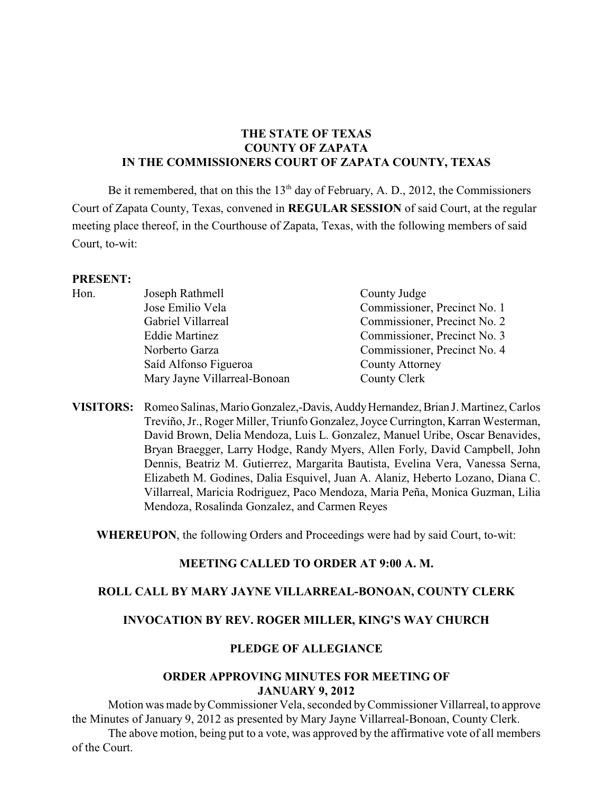# **THE STATE OF TEXAS COUNTY OF ZAPATA IN THE COMMISSIONERS COURT OF ZAPATA COUNTY, TEXAS**

Be it remembered, that on this the  $13<sup>th</sup>$  day of February, A. D., 2012, the Commissioners Court of Zapata County, Texas, convened in **REGULAR SESSION** of said Court, at the regular meeting place thereof, in the Courthouse of Zapata, Texas, with the following members of said Court, to-wit:

#### **PRESENT:**

| Hon. | Joseph Rathmell              | County Judge                 |
|------|------------------------------|------------------------------|
|      | Jose Emilio Vela             | Commissioner, Precinct No. 1 |
|      | Gabriel Villarreal           | Commissioner, Precinct No. 2 |
|      | <b>Eddie Martinez</b>        | Commissioner, Precinct No. 3 |
|      | Norberto Garza               | Commissioner, Precinct No. 4 |
|      | Saíd Alfonso Figueroa        | <b>County Attorney</b>       |
|      | Mary Jayne Villarreal-Bonoan | County Clerk                 |
|      |                              |                              |

**VISITORS:** Romeo Salinas, Mario Gonzalez,-Davis, Auddy Hernandez, Brian J. Martinez, Carlos Treviño, Jr., Roger Miller, Triunfo Gonzalez, Joyce Currington, Karran Westerman, David Brown, Delia Mendoza, Luis L. Gonzalez, Manuel Uribe, Oscar Benavides, Bryan Braegger, Larry Hodge, Randy Myers, Allen Forly, David Campbell, John Dennis, Beatriz M. Gutierrez, Margarita Bautista, Evelina Vera, Vanessa Serna, Elizabeth M. Godines, Dalia Esquivel, Juan A. Alaniz, Heberto Lozano, Diana C. Villarreal, Maricia Rodriguez, Paco Mendoza, Maria Peña, Monica Guzman, Lilia Mendoza, Rosalinda Gonzalez, and Carmen Reyes

**WHEREUPON**, the following Orders and Proceedings were had by said Court, to-wit:

#### **MEETING CALLED TO ORDER AT 9:00 A. M.**

#### **ROLL CALL BY MARY JAYNE VILLARREAL-BONOAN, COUNTY CLERK**

#### **INVOCATION BY REV. ROGER MILLER, KING'S WAY CHURCH**

#### **PLEDGE OF ALLEGIANCE**

#### **ORDER APPROVING MINUTES FOR MEETING OF JANUARY 9, 2012**

Motion was made by Commissioner Vela, seconded byCommissioner Villarreal, to approve the Minutes of January 9, 2012 as presented by Mary Jayne Villarreal-Bonoan, County Clerk.

The above motion, being put to a vote, was approved by the affirmative vote of all members of the Court.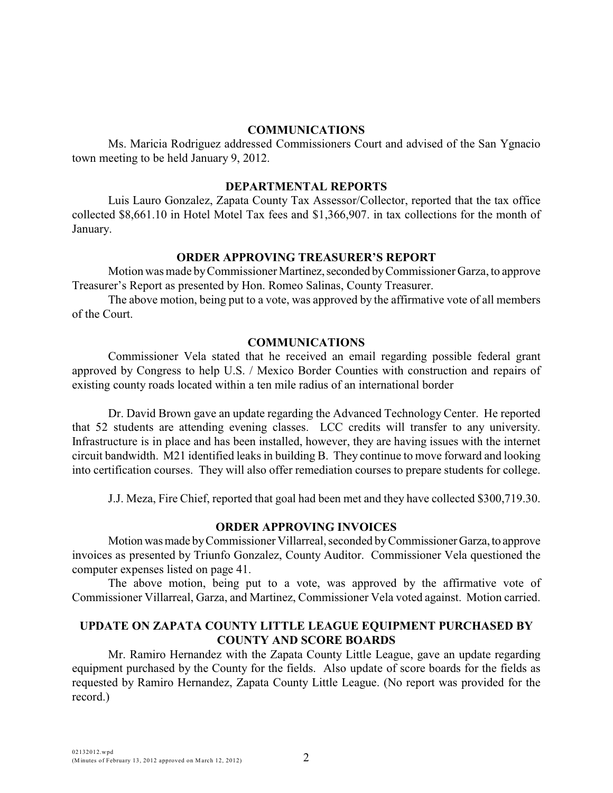#### **COMMUNICATIONS**

Ms. Maricia Rodriguez addressed Commissioners Court and advised of the San Ygnacio town meeting to be held January 9, 2012.

#### **DEPARTMENTAL REPORTS**

Luis Lauro Gonzalez, Zapata County Tax Assessor/Collector, reported that the tax office collected \$8,661.10 in Hotel Motel Tax fees and \$1,366,907. in tax collections for the month of January.

#### **ORDER APPROVING TREASURER'S REPORT**

Motion was made by Commissioner Martinez, seconded by Commissioner Garza, to approve Treasurer's Report as presented by Hon. Romeo Salinas, County Treasurer.

The above motion, being put to a vote, was approved by the affirmative vote of all members of the Court.

#### **COMMUNICATIONS**

Commissioner Vela stated that he received an email regarding possible federal grant approved by Congress to help U.S. / Mexico Border Counties with construction and repairs of existing county roads located within a ten mile radius of an international border

Dr. David Brown gave an update regarding the Advanced Technology Center. He reported that 52 students are attending evening classes. LCC credits will transfer to any university. Infrastructure is in place and has been installed, however, they are having issues with the internet circuit bandwidth. M21 identified leaks in building B. They continue to move forward and looking into certification courses. They will also offer remediation courses to prepare students for college.

J.J. Meza, Fire Chief, reported that goal had been met and they have collected \$300,719.30.

#### **ORDER APPROVING INVOICES**

Motion was made by Commissioner Villarreal, seconded by Commissioner Garza, to approve invoices as presented by Triunfo Gonzalez, County Auditor. Commissioner Vela questioned the computer expenses listed on page 41.

The above motion, being put to a vote, was approved by the affirmative vote of Commissioner Villarreal, Garza, and Martinez, Commissioner Vela voted against. Motion carried.

### **UPDATE ON ZAPATA COUNTY LITTLE LEAGUE EQUIPMENT PURCHASED BY COUNTY AND SCORE BOARDS**

Mr. Ramiro Hernandez with the Zapata County Little League, gave an update regarding equipment purchased by the County for the fields. Also update of score boards for the fields as requested by Ramiro Hernandez, Zapata County Little League. (No report was provided for the record.)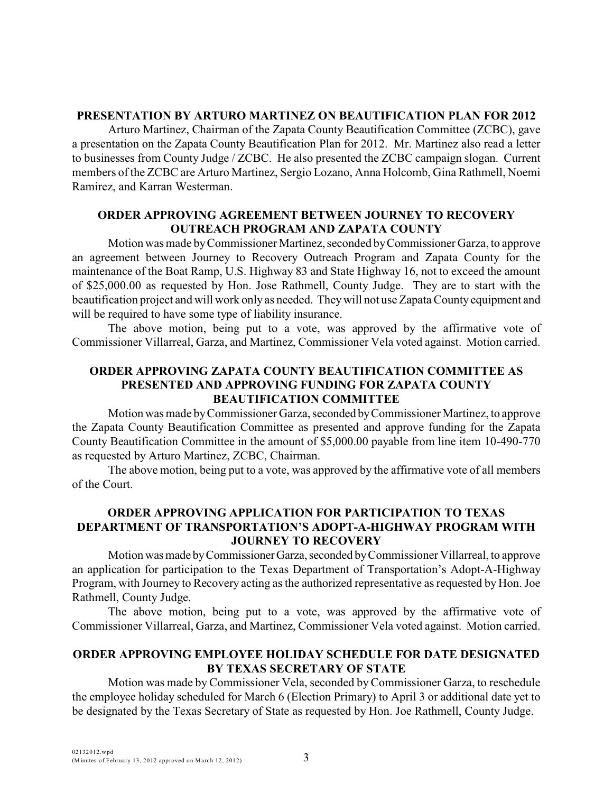### **PRESENTATION BY ARTURO MARTINEZ ON BEAUTIFICATION PLAN FOR 2012**

Arturo Martinez, Chairman of the Zapata County Beautification Committee (ZCBC), gave a presentation on the Zapata County Beautification Plan for 2012. Mr. Martinez also read a letter to businesses from County Judge / ZCBC. He also presented the ZCBC campaign slogan. Current members of the ZCBC are Arturo Martinez, Sergio Lozano, Anna Holcomb, Gina Rathmell, Noemi Ramirez, and Karran Westerman.

### **ORDER APPROVING AGREEMENT BETWEEN JOURNEY TO RECOVERY OUTREACH PROGRAM AND ZAPATA COUNTY**

Motion was made by Commissioner Martinez, seconded by Commissioner Garza, to approve an agreement between Journey to Recovery Outreach Program and Zapata County for the maintenance of the Boat Ramp, U.S. Highway 83 and State Highway 16, not to exceed the amount of \$25,000.00 as requested by Hon. Jose Rathmell, County Judge. They are to start with the beautification project and will work only as needed. They will not use Zapata County equipment and will be required to have some type of liability insurance.

The above motion, being put to a vote, was approved by the affirmative vote of Commissioner Villarreal, Garza, and Martinez, Commissioner Vela voted against. Motion carried.

# **ORDER APPROVING ZAPATA COUNTY BEAUTIFICATION COMMITTEE AS PRESENTED AND APPROVING FUNDING FOR ZAPATA COUNTY BEAUTIFICATION COMMITTEE**

Motion was made by Commissioner Garza, seconded by Commissioner Martinez, to approve the Zapata County Beautification Committee as presented and approve funding for the Zapata County Beautification Committee in the amount of \$5,000.00 payable from line item 10-490-770 as requested by Arturo Martinez, ZCBC, Chairman.

The above motion, being put to a vote, was approved by the affirmative vote of all members of the Court.

# **ORDER APPROVING APPLICATION FOR PARTICIPATION TO TEXAS DEPARTMENT OF TRANSPORTATION'S ADOPT-A-HIGHWAY PROGRAM WITH JOURNEY TO RECOVERY**

Motion was made by Commissioner Garza, seconded by Commissioner Villarreal, to approve an application for participation to the Texas Department of Transportation's Adopt-A-Highway Program, with Journey to Recovery acting as the authorized representative as requested by Hon. Joe Rathmell, County Judge.

The above motion, being put to a vote, was approved by the affirmative vote of Commissioner Villarreal, Garza, and Martinez, Commissioner Vela voted against. Motion carried.

# **ORDER APPROVING EMPLOYEE HOLIDAY SCHEDULE FOR DATE DESIGNATED BY TEXAS SECRETARY OF STATE**

Motion was made byCommissioner Vela, seconded byCommissioner Garza, to reschedule the employee holiday scheduled for March 6 (Election Primary) to April 3 or additional date yet to be designated by the Texas Secretary of State as requested by Hon. Joe Rathmell, County Judge.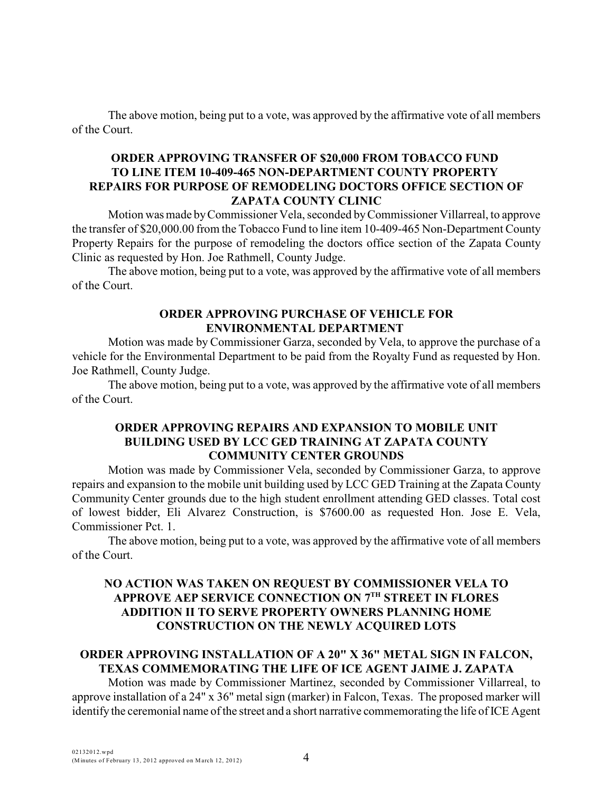## **ORDER APPROVING TRANSFER OF \$20,000 FROM TOBACCO FUND TO LINE ITEM 10-409-465 NON-DEPARTMENT COUNTY PROPERTY REPAIRS FOR PURPOSE OF REMODELING DOCTORS OFFICE SECTION OF ZAPATA COUNTY CLINIC**

Motion was made byCommissioner Vela, seconded by Commissioner Villarreal, to approve the transfer of \$20,000.00 from the Tobacco Fund to line item 10-409-465 Non-Department County Property Repairs for the purpose of remodeling the doctors office section of the Zapata County Clinic as requested by Hon. Joe Rathmell, County Judge.

The above motion, being put to a vote, was approved by the affirmative vote of all members of the Court.

### **ORDER APPROVING PURCHASE OF VEHICLE FOR ENVIRONMENTAL DEPARTMENT**

Motion was made by Commissioner Garza, seconded by Vela, to approve the purchase of a vehicle for the Environmental Department to be paid from the Royalty Fund as requested by Hon. Joe Rathmell, County Judge.

The above motion, being put to a vote, was approved by the affirmative vote of all members of the Court.

## **ORDER APPROVING REPAIRS AND EXPANSION TO MOBILE UNIT BUILDING USED BY LCC GED TRAINING AT ZAPATA COUNTY COMMUNITY CENTER GROUNDS**

Motion was made by Commissioner Vela, seconded by Commissioner Garza, to approve repairs and expansion to the mobile unit building used by LCC GED Training at the Zapata County Community Center grounds due to the high student enrollment attending GED classes. Total cost of lowest bidder, Eli Alvarez Construction, is \$7600.00 as requested Hon. Jose E. Vela, Commissioner Pct. 1.

The above motion, being put to a vote, was approved by the affirmative vote of all members of the Court.

# **NO ACTION WAS TAKEN ON REQUEST BY COMMISSIONER VELA TO** APPROVE AEP SERVICE CONNECTION ON 7<sup>TH</sup> STREET IN FLORES **ADDITION II TO SERVE PROPERTY OWNERS PLANNING HOME CONSTRUCTION ON THE NEWLY ACQUIRED LOTS**

# **ORDER APPROVING INSTALLATION OF A 20" X 36" METAL SIGN IN FALCON, TEXAS COMMEMORATING THE LIFE OF ICE AGENT JAIME J. ZAPATA**

Motion was made by Commissioner Martinez, seconded by Commissioner Villarreal, to approve installation of a 24" x 36" metal sign (marker) in Falcon, Texas. The proposed marker will identify the ceremonial name of the street and a short narrative commemorating the life of ICE Agent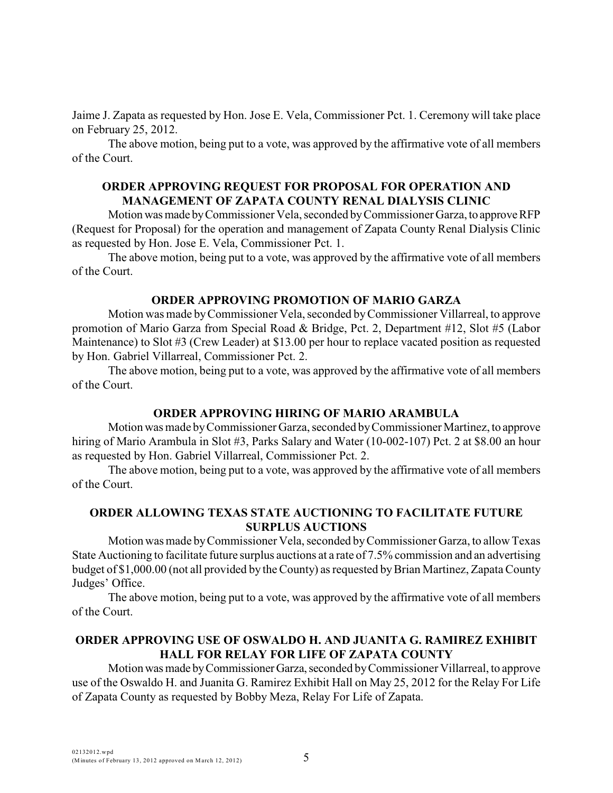Jaime J. Zapata as requested by Hon. Jose E. Vela, Commissioner Pct. 1. Ceremony will take place on February 25, 2012.

The above motion, being put to a vote, was approved by the affirmative vote of all members of the Court.

#### **ORDER APPROVING REQUEST FOR PROPOSAL FOR OPERATION AND MANAGEMENT OF ZAPATA COUNTY RENAL DIALYSIS CLINIC**

Motion was made by Commissioner Vela, seconded by Commissioner Garza, to approve RFP (Request for Proposal) for the operation and management of Zapata County Renal Dialysis Clinic as requested by Hon. Jose E. Vela, Commissioner Pct. 1.

The above motion, being put to a vote, was approved by the affirmative vote of all members of the Court.

### **ORDER APPROVING PROMOTION OF MARIO GARZA**

Motion was made byCommissioner Vela, seconded by Commissioner Villarreal, to approve promotion of Mario Garza from Special Road & Bridge, Pct. 2, Department #12, Slot #5 (Labor Maintenance) to Slot #3 (Crew Leader) at \$13.00 per hour to replace vacated position as requested by Hon. Gabriel Villarreal, Commissioner Pct. 2.

The above motion, being put to a vote, was approved by the affirmative vote of all members of the Court.

#### **ORDER APPROVING HIRING OF MARIO ARAMBULA**

Motion was made by Commissioner Garza, seconded by Commissioner Martinez, to approve hiring of Mario Arambula in Slot #3, Parks Salary and Water (10-002-107) Pct. 2 at \$8.00 an hour as requested by Hon. Gabriel Villarreal, Commissioner Pct. 2.

The above motion, being put to a vote, was approved by the affirmative vote of all members of the Court.

## **ORDER ALLOWING TEXAS STATE AUCTIONING TO FACILITATE FUTURE SURPLUS AUCTIONS**

Motion was made by Commissioner Vela, seconded byCommissioner Garza, to allow Texas State Auctioning to facilitate future surplus auctions at a rate of 7.5% commission and an advertising budget of \$1,000.00 (not all provided by the County) as requested by Brian Martinez, Zapata County Judges' Office.

The above motion, being put to a vote, was approved by the affirmative vote of all members of the Court.

# **ORDER APPROVING USE OF OSWALDO H. AND JUANITA G. RAMIREZ EXHIBIT HALL FOR RELAY FOR LIFE OF ZAPATA COUNTY**

Motion was made by Commissioner Garza, seconded by Commissioner Villarreal, to approve use of the Oswaldo H. and Juanita G. Ramirez Exhibit Hall on May 25, 2012 for the Relay For Life of Zapata County as requested by Bobby Meza, Relay For Life of Zapata.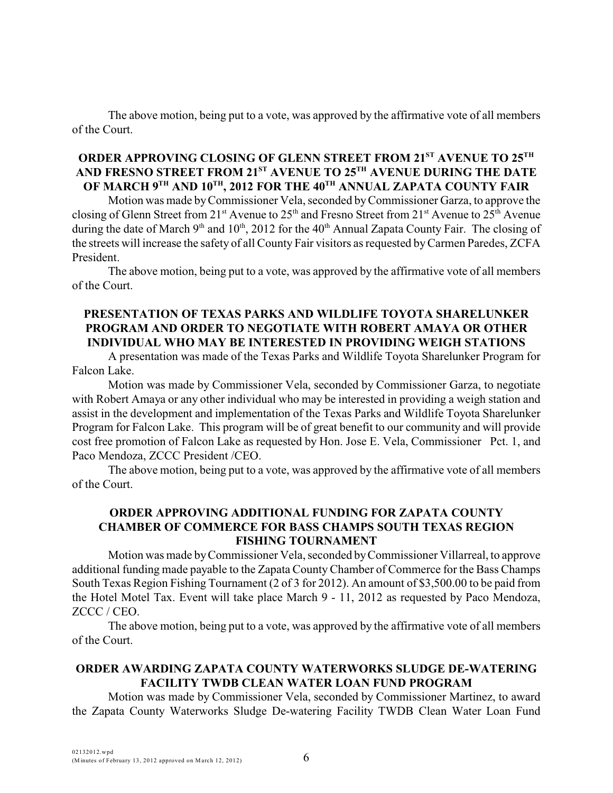# **ORDER APPROVING CLOSING OF GLENN STREET FROM 21<sup>ST</sup> AVENUE TO 25<sup>TH</sup>** AND FRESNO STREET FROM 21<sup>st</sup> AVENUE TO 25<sup>th</sup> AVENUE DURING THE DATE  $\bf O$ F MARCH 9 $^{\rm TH}$  AND 10 $^{\rm TH}$ , 2012 FOR THE 40 $^{\rm TH}$  ANNUAL ZAPATA COUNTY FAIR

Motion was made by Commissioner Vela, seconded by Commissioner Garza, to approve the closing of Glenn Street from 21<sup>st</sup> Avenue to 25<sup>th</sup> and Fresno Street from 21<sup>st</sup> Avenue to 25<sup>th</sup> Avenue during the date of March 9<sup>th</sup> and 10<sup>th</sup>, 2012 for the 40<sup>th</sup> Annual Zapata County Fair. The closing of the streets will increase the safety of all County Fair visitors as requested by Carmen Paredes, ZCFA President.

The above motion, being put to a vote, was approved by the affirmative vote of all members of the Court.

# **PRESENTATION OF TEXAS PARKS AND WILDLIFE TOYOTA SHARELUNKER PROGRAM AND ORDER TO NEGOTIATE WITH ROBERT AMAYA OR OTHER INDIVIDUAL WHO MAY BE INTERESTED IN PROVIDING WEIGH STATIONS**

A presentation was made of the Texas Parks and Wildlife Toyota Sharelunker Program for Falcon Lake.

Motion was made by Commissioner Vela, seconded by Commissioner Garza, to negotiate with Robert Amaya or any other individual who may be interested in providing a weigh station and assist in the development and implementation of the Texas Parks and Wildlife Toyota Sharelunker Program for Falcon Lake. This program will be of great benefit to our community and will provide cost free promotion of Falcon Lake as requested by Hon. Jose E. Vela, Commissioner Pct. 1, and Paco Mendoza, ZCCC President /CEO.

The above motion, being put to a vote, was approved by the affirmative vote of all members of the Court.

# **ORDER APPROVING ADDITIONAL FUNDING FOR ZAPATA COUNTY CHAMBER OF COMMERCE FOR BASS CHAMPS SOUTH TEXAS REGION FISHING TOURNAMENT**

Motion was made by Commissioner Vela, seconded byCommissioner Villarreal, to approve additional funding made payable to the Zapata County Chamber of Commerce for the Bass Champs South Texas Region Fishing Tournament (2 of 3 for 2012). An amount of \$3,500.00 to be paid from the Hotel Motel Tax. Event will take place March 9 - 11, 2012 as requested by Paco Mendoza, ZCCC / CEO.

The above motion, being put to a vote, was approved by the affirmative vote of all members of the Court.

# **ORDER AWARDING ZAPATA COUNTY WATERWORKS SLUDGE DE-WATERING FACILITY TWDB CLEAN WATER LOAN FUND PROGRAM**

Motion was made by Commissioner Vela, seconded by Commissioner Martinez, to award the Zapata County Waterworks Sludge De-watering Facility TWDB Clean Water Loan Fund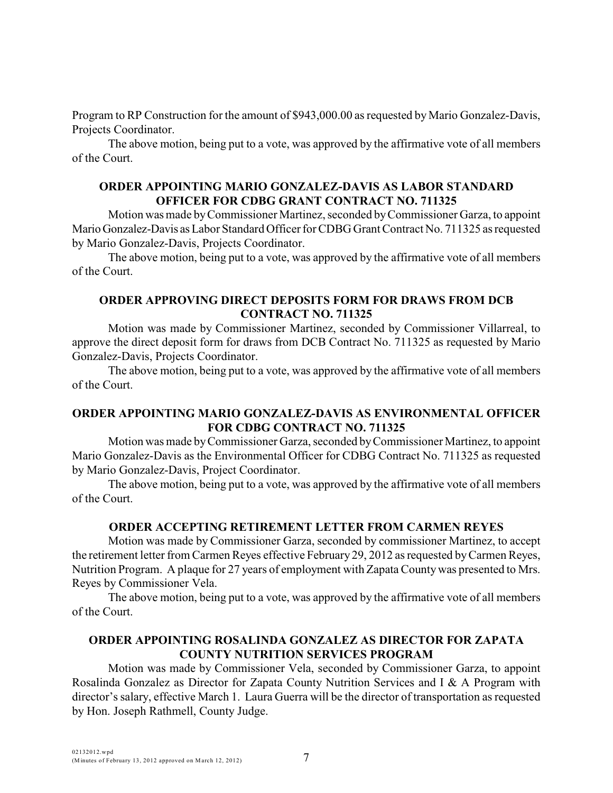Program to RP Construction for the amount of \$943,000.00 as requested by Mario Gonzalez-Davis, Projects Coordinator.

The above motion, being put to a vote, was approved by the affirmative vote of all members of the Court.

### **ORDER APPOINTING MARIO GONZALEZ-DAVIS AS LABOR STANDARD OFFICER FOR CDBG GRANT CONTRACT NO. 711325**

Motion was made by Commissioner Martinez, seconded by Commissioner Garza, to appoint Mario Gonzalez-Davis as Labor Standard Officer for CDBG Grant Contract No. 711325 as requested by Mario Gonzalez-Davis, Projects Coordinator.

The above motion, being put to a vote, was approved by the affirmative vote of all members of the Court.

### **ORDER APPROVING DIRECT DEPOSITS FORM FOR DRAWS FROM DCB CONTRACT NO. 711325**

Motion was made by Commissioner Martinez, seconded by Commissioner Villarreal, to approve the direct deposit form for draws from DCB Contract No. 711325 as requested by Mario Gonzalez-Davis, Projects Coordinator.

The above motion, being put to a vote, was approved by the affirmative vote of all members of the Court.

# **ORDER APPOINTING MARIO GONZALEZ-DAVIS AS ENVIRONMENTAL OFFICER FOR CDBG CONTRACT NO. 711325**

Motion was made by Commissioner Garza, seconded byCommissioner Martinez, to appoint Mario Gonzalez-Davis as the Environmental Officer for CDBG Contract No. 711325 as requested by Mario Gonzalez-Davis, Project Coordinator.

The above motion, being put to a vote, was approved by the affirmative vote of all members of the Court.

# **ORDER ACCEPTING RETIREMENT LETTER FROM CARMEN REYES**

Motion was made by Commissioner Garza, seconded by commissioner Martinez, to accept the retirement letter from Carmen Reyes effective February 29, 2012 as requested by Carmen Reyes, Nutrition Program. A plaque for 27 years of employment with Zapata County was presented to Mrs. Reyes by Commissioner Vela.

The above motion, being put to a vote, was approved by the affirmative vote of all members of the Court.

# **ORDER APPOINTING ROSALINDA GONZALEZ AS DIRECTOR FOR ZAPATA COUNTY NUTRITION SERVICES PROGRAM**

Motion was made by Commissioner Vela, seconded by Commissioner Garza, to appoint Rosalinda Gonzalez as Director for Zapata County Nutrition Services and I & A Program with director's salary, effective March 1. Laura Guerra will be the director of transportation as requested by Hon. Joseph Rathmell, County Judge.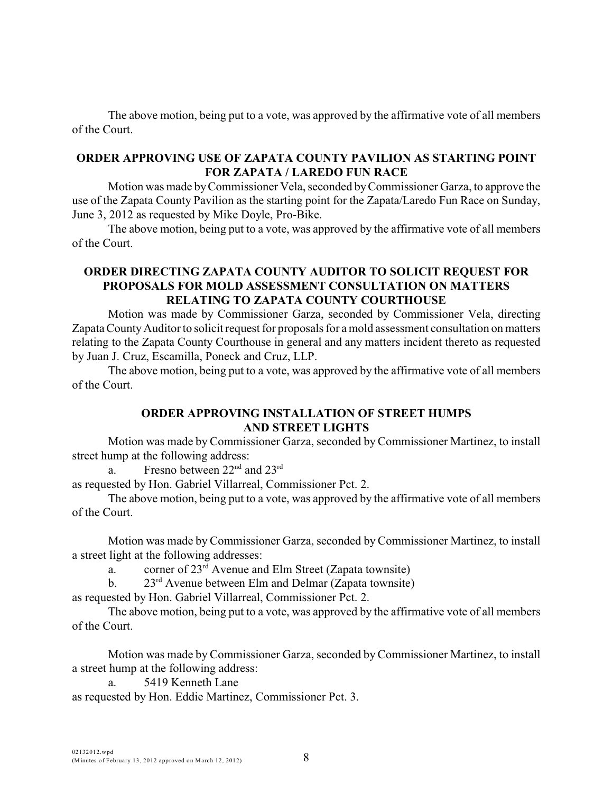### **ORDER APPROVING USE OF ZAPATA COUNTY PAVILION AS STARTING POINT FOR ZAPATA / LAREDO FUN RACE**

Motion was made by Commissioner Vela, seconded by Commissioner Garza, to approve the use of the Zapata County Pavilion as the starting point for the Zapata/Laredo Fun Race on Sunday, June 3, 2012 as requested by Mike Doyle, Pro-Bike.

The above motion, being put to a vote, was approved by the affirmative vote of all members of the Court.

# **ORDER DIRECTING ZAPATA COUNTY AUDITOR TO SOLICIT REQUEST FOR PROPOSALS FOR MOLD ASSESSMENT CONSULTATION ON MATTERS RELATING TO ZAPATA COUNTY COURTHOUSE**

Motion was made by Commissioner Garza, seconded by Commissioner Vela, directing Zapata County Auditor to solicit request for proposals for a mold assessment consultation on matters relating to the Zapata County Courthouse in general and any matters incident thereto as requested by Juan J. Cruz, Escamilla, Poneck and Cruz, LLP.

The above motion, being put to a vote, was approved by the affirmative vote of all members of the Court.

## **ORDER APPROVING INSTALLATION OF STREET HUMPS AND STREET LIGHTS**

Motion was made by Commissioner Garza, seconded by Commissioner Martinez, to install street hump at the following address:

a. Fresno between  $22<sup>nd</sup>$  and  $23<sup>rd</sup>$ 

as requested by Hon. Gabriel Villarreal, Commissioner Pct. 2.

The above motion, being put to a vote, was approved by the affirmative vote of all members of the Court.

Motion was made by Commissioner Garza, seconded by Commissioner Martinez, to install a street light at the following addresses:

a. corner of  $23<sup>rd</sup>$  Avenue and Elm Street (Zapata townsite)

b.  $23<sup>rd</sup>$  Avenue between Elm and Delmar (Zapata townsite)

as requested by Hon. Gabriel Villarreal, Commissioner Pct. 2.

The above motion, being put to a vote, was approved by the affirmative vote of all members of the Court.

Motion was made by Commissioner Garza, seconded byCommissioner Martinez, to install a street hump at the following address:

a. 5419 Kenneth Lane as requested by Hon. Eddie Martinez, Commissioner Pct. 3.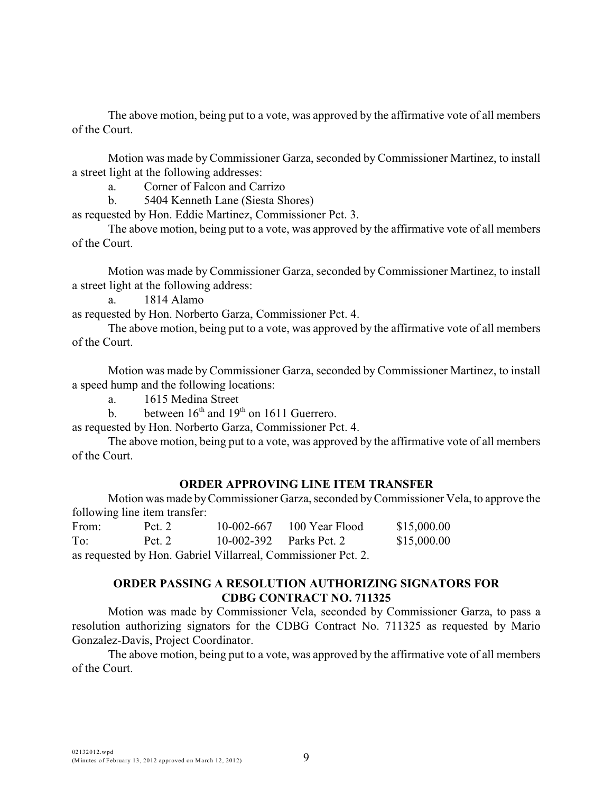Motion was made by Commissioner Garza, seconded by Commissioner Martinez, to install a street light at the following addresses:

a. Corner of Falcon and Carrizo

b. 5404 Kenneth Lane (Siesta Shores)

as requested by Hon. Eddie Martinez, Commissioner Pct. 3.

The above motion, being put to a vote, was approved by the affirmative vote of all members of the Court.

Motion was made by Commissioner Garza, seconded by Commissioner Martinez, to install a street light at the following address:

a. 1814 Alamo

as requested by Hon. Norberto Garza, Commissioner Pct. 4.

The above motion, being put to a vote, was approved by the affirmative vote of all members of the Court.

Motion was made by Commissioner Garza, seconded by Commissioner Martinez, to install a speed hump and the following locations:

a. 1615 Medina Street

b. between  $16<sup>th</sup>$  and  $19<sup>th</sup>$  on 1611 Guerrero.

as requested by Hon. Norberto Garza, Commissioner Pct. 4.

The above motion, being put to a vote, was approved by the affirmative vote of all members of the Court.

#### **ORDER APPROVING LINE ITEM TRANSFER**

Motion was made by Commissioner Garza, seconded by Commissioner Vela, to approve the following line item transfer:

From: Pct. 2 10-002-667 100 Year Flood \$15,000.00 To: Pct. 2 10-002-392 Parks Pct. 2 \$15,000.00

as requested by Hon. Gabriel Villarreal, Commissioner Pct. 2.

# **ORDER PASSING A RESOLUTION AUTHORIZING SIGNATORS FOR CDBG CONTRACT NO. 711325**

Motion was made by Commissioner Vela, seconded by Commissioner Garza, to pass a resolution authorizing signators for the CDBG Contract No. 711325 as requested by Mario Gonzalez-Davis, Project Coordinator.

The above motion, being put to a vote, was approved by the affirmative vote of all members of the Court.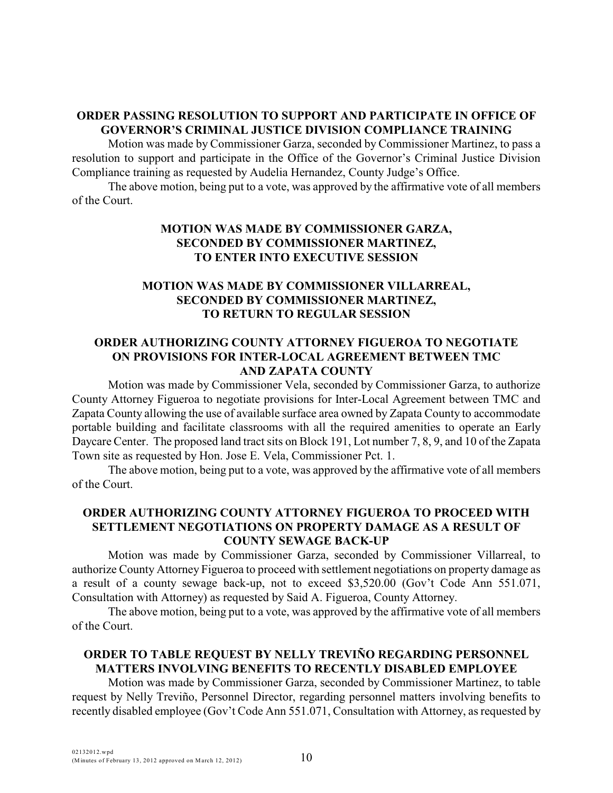### **ORDER PASSING RESOLUTION TO SUPPORT AND PARTICIPATE IN OFFICE OF GOVERNOR'S CRIMINAL JUSTICE DIVISION COMPLIANCE TRAINING**

Motion was made by Commissioner Garza, seconded by Commissioner Martinez, to pass a resolution to support and participate in the Office of the Governor's Criminal Justice Division Compliance training as requested by Audelia Hernandez, County Judge's Office.

The above motion, being put to a vote, was approved by the affirmative vote of all members of the Court.

# **MOTION WAS MADE BY COMMISSIONER GARZA, SECONDED BY COMMISSIONER MARTINEZ, TO ENTER INTO EXECUTIVE SESSION**

# **MOTION WAS MADE BY COMMISSIONER VILLARREAL, SECONDED BY COMMISSIONER MARTINEZ, TO RETURN TO REGULAR SESSION**

# **ORDER AUTHORIZING COUNTY ATTORNEY FIGUEROA TO NEGOTIATE ON PROVISIONS FOR INTER-LOCAL AGREEMENT BETWEEN TMC AND ZAPATA COUNTY**

Motion was made by Commissioner Vela, seconded by Commissioner Garza, to authorize County Attorney Figueroa to negotiate provisions for Inter-Local Agreement between TMC and Zapata County allowing the use of available surface area owned by Zapata County to accommodate portable building and facilitate classrooms with all the required amenities to operate an Early Daycare Center. The proposed land tract sits on Block 191, Lot number 7, 8, 9, and 10 of the Zapata Town site as requested by Hon. Jose E. Vela, Commissioner Pct. 1.

The above motion, being put to a vote, was approved by the affirmative vote of all members of the Court.

## **ORDER AUTHORIZING COUNTY ATTORNEY FIGUEROA TO PROCEED WITH SETTLEMENT NEGOTIATIONS ON PROPERTY DAMAGE AS A RESULT OF COUNTY SEWAGE BACK-UP**

Motion was made by Commissioner Garza, seconded by Commissioner Villarreal, to authorize County Attorney Figueroa to proceed with settlement negotiations on property damage as a result of a county sewage back-up, not to exceed \$3,520.00 (Gov't Code Ann 551.071, Consultation with Attorney) as requested by Said A. Figueroa, County Attorney.

The above motion, being put to a vote, was approved by the affirmative vote of all members of the Court.

# **ORDER TO TABLE REQUEST BY NELLY TREVIÑO REGARDING PERSONNEL MATTERS INVOLVING BENEFITS TO RECENTLY DISABLED EMPLOYEE**

Motion was made by Commissioner Garza, seconded by Commissioner Martinez, to table request by Nelly Treviño, Personnel Director, regarding personnel matters involving benefits to recently disabled employee (Gov't Code Ann 551.071, Consultation with Attorney, as requested by